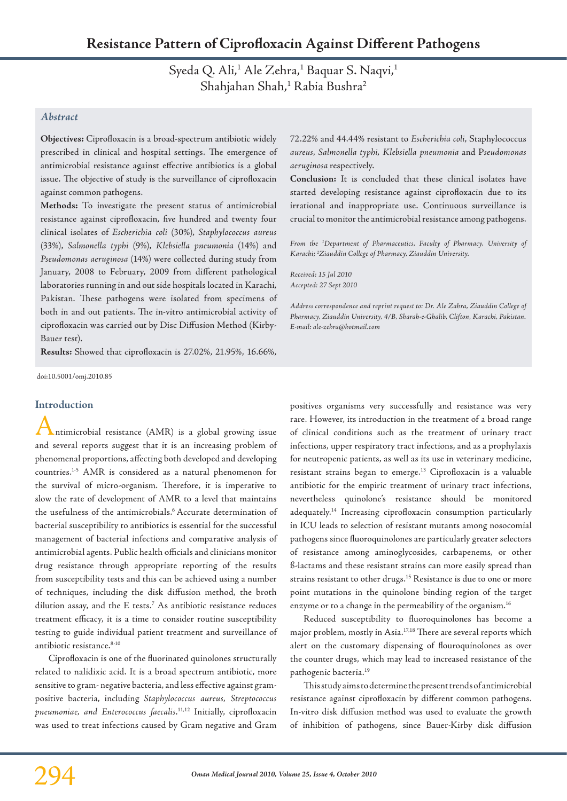Syeda Q. Ali,<sup>1</sup> Ale Zehra,<sup>1</sup> Baquar S. Naqvi,<sup>1</sup> Shahjahan Shah,<sup>1</sup> Rabia Bushra<sup>2</sup>

# *Abstract*

**Objectives:** Ciprofloxacin is a broad-spectrum antibiotic widely prescribed in clinical and hospital settings. The emergence of antimicrobial resistance against effective antibiotics is a global issue. The objective of study is the surveillance of ciprofloxacin against common pathogens.

**Methods:** To investigate the present status of antimicrobial resistance against ciprofloxacin, five hundred and twenty four clinical isolates of *Escherichia coli* (30%), *Staphylococcus aureus*  (33%), *Salmonella typhi* (9%), *Klebsiella pneumonia* (14%) and *Pseudomonas aeruginosa* (14%) were collected during study from January, 2008 to February, 2009 from different pathological laboratories running in and out side hospitals located in Karachi, Pakistan. These pathogens were isolated from specimens of both in and out patients. The in-vitro antimicrobial activity of ciprofloxacin was carried out by Disc Diffusion Method (Kirby-Bauer test).

**Results:** Showed that ciprofloxacin is 27.02%, 21.95%, 16.66%,

doi:10.5001/omj.2010.85

# **Introduction**

Antimicrobial resistance (AMR) is a global growing issue and several reports suggest that it is an increasing problem of phenomenal proportions, affecting both developed and developing countries.1-5 AMR is considered as a natural phenomenon for the survival of micro-organism. Therefore, it is imperative to slow the rate of development of AMR to a level that maintains the usefulness of the antimicrobials.6 Accurate determination of bacterial susceptibility to antibiotics is essential for the successful management of bacterial infections and comparative analysis of antimicrobial agents. Public health officials and clinicians monitor drug resistance through appropriate reporting of the results from susceptibility tests and this can be achieved using a number of techniques, including the disk diffusion method, the broth dilution assay, and the E tests.7 As antibiotic resistance reduces treatment efficacy, it is a time to consider routine susceptibility testing to guide individual patient treatment and surveillance of antibiotic resistance.<sup>8-10</sup>

Ciprofloxacin is one of the fluorinated quinolones structurally related to nalidixic acid. It is a broad spectrum antibiotic, more sensitive to gram- negative bacteria, and less effective against grampositive bacteria, including *Staphylococcus aureus, Streptococcus pneumoniae, and Enterococcus faecalis*. 11,12 Initially, ciprofloxacin was used to treat infections caused by Gram negative and Gram

72.22% and 44.44% resistant to *Escherichia coli*, Staphylococcus *aureus, Salmonella typhi, Klebsiella pneumonia* and P*seudomonas aeruginosa* respectively.

**Conclusion:** It is concluded that these clinical isolates have started developing resistance against ciprofloxacin due to its irrational and inappropriate use. Continuous surveillance is crucial to monitor the antimicrobial resistance among pathogens.

*From the 1 Department of Pharmaceutics, Faculty of Pharmacy, University of Karachi; 2 Ziauddin College of Pharmacy, Ziauddin University.*

*Received: 15 Jul 2010 Accepted: 27 Sept 2010*

*Address correspondence and reprint request to: Dr. Ale Zahra, Ziauddin College of Pharmacy, Ziauddin University, 4/B, Sharah-e-Ghalib, Clifton, Karachi, Pakistan. E-mail: ale-zehra@hotmail.com*

positives organisms very successfully and resistance was very rare. However, its introduction in the treatment of a broad range of clinical conditions such as the treatment of urinary tract infections, upper respiratory tract infections, and as a prophylaxis for neutropenic patients, as well as its use in veterinary medicine, resistant strains began to emerge.<sup>13</sup> Ciprofloxacin is a valuable antibiotic for the empiric treatment of urinary tract infections, nevertheless quinolone's resistance should be monitored adequately.14 Increasing ciprofloxacin consumption particularly in ICU leads to selection of resistant mutants among nosocomial pathogens since fluoroquinolones are particularly greater selectors of resistance among aminoglycosides, carbapenems, or other ß-lactams and these resistant strains can more easily spread than strains resistant to other drugs.<sup>15</sup> Resistance is due to one or more point mutations in the quinolone binding region of the target enzyme or to a change in the permeability of the organism.<sup>16</sup>

Reduced susceptibility to fluoroquinolones has become a major problem, mostly in Asia.17,18 There are several reports which alert on the customary dispensing of flouroquinolones as over the counter drugs, which may lead to increased resistance of the pathogenic bacteria.19

This study aims to determine the present trends of antimicrobial resistance against ciprofloxacin by different common pathogens. In-vitro disk diffusion method was used to evaluate the growth of inhibition of pathogens, since Bauer-Kirby disk diffusion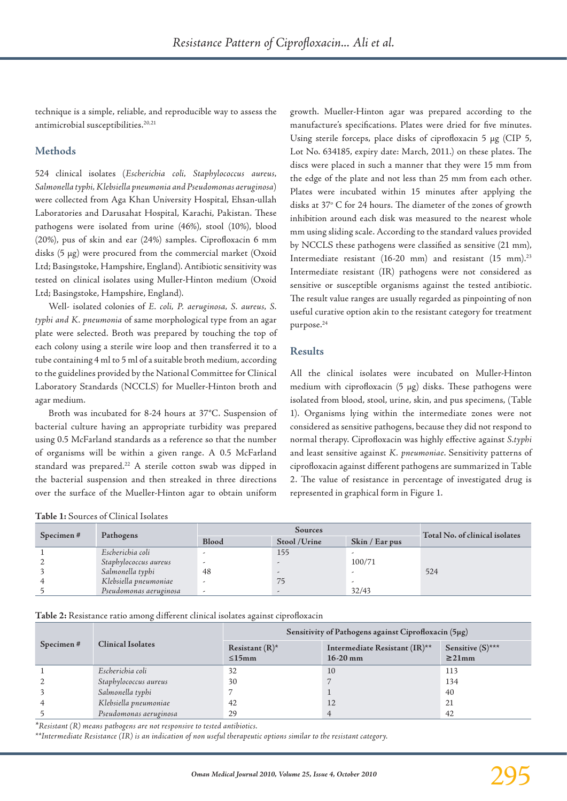technique is a simple, reliable, and reproducible way to assess the antimicrobial susceptibilities.<sup>20,21</sup>

# **Methods**

524 clinical isolates (*Escherichia coli, Staphylococcus aureus, Salmonella typhi, Klebsiella pneumonia and Pseudomonas aeruginosa*) were collected from Aga Khan University Hospital, Ehsan-ullah Laboratories and Darusahat Hospital, Karachi, Pakistan. These pathogens were isolated from urine (46%), stool (10%), blood (20%), pus of skin and ear (24%) samples. Ciprofloxacin 6 mm disks (5 µg) were procured from the commercial market (Oxoid Ltd; Basingstoke, Hampshire, England). Antibiotic sensitivity was tested on clinical isolates using Muller-Hinton medium (Oxoid Ltd; Basingstoke, Hampshire, England).

Well- isolated colonies of *E. coli, P. aeruginosa, S. aureus, S. typhi and K. pneumonia* of same morphological type from an agar plate were selected. Broth was prepared by touching the top of each colony using a sterile wire loop and then transferred it to a tube containing 4 ml to 5 ml of a suitable broth medium, according to the guidelines provided by the National Committee for Clinical Laboratory Standards (NCCLS) for Mueller-Hinton broth and agar medium.

Broth was incubated for 8-24 hours at 37°C. Suspension of bacterial culture having an appropriate turbidity was prepared using 0.5 McFarland standards as a reference so that the number of organisms will be within a given range. A 0.5 McFarland standard was prepared.<sup>22</sup> A sterile cotton swab was dipped in the bacterial suspension and then streaked in three directions over the surface of the Mueller-Hinton agar to obtain uniform

growth. Mueller-Hinton agar was prepared according to the manufacture's specifications. Plates were dried for five minutes. Using sterile forceps, place disks of ciprofloxacin 5 µg (CIP 5, Lot No. 634185, expiry date: March, 2011.) on these plates. The discs were placed in such a manner that they were 15 mm from the edge of the plate and not less than 25 mm from each other. Plates were incubated within 15 minutes after applying the disks at 37° C for 24 hours. The diameter of the zones of growth inhibition around each disk was measured to the nearest whole mm using sliding scale. According to the standard values provided by NCCLS these pathogens were classified as sensitive (21 mm), Intermediate resistant (16-20 mm) and resistant (15 mm).<sup>23</sup> Intermediate resistant (IR) pathogens were not considered as sensitive or susceptible organisms against the tested antibiotic. The result value ranges are usually regarded as pinpointing of non useful curative option akin to the resistant category for treatment purpose.24

# **Results**

All the clinical isolates were incubated on Muller-Hinton medium with ciprofloxacin (5 µg) disks. These pathogens were isolated from blood, stool, urine, skin, and pus specimens, (Table 1). Organisms lying within the intermediate zones were not considered as sensitive pathogens, because they did not respond to normal therapy. Ciprofloxacin was highly effective against *S.typhi* and least sensitive against *K. pneumoniae*. Sensitivity patterns of ciprofloxacin against different pathogens are summarized in Table 2. The value of resistance in percentage of investigated drug is represented in graphical form in Figure 1.

| Tuple 1: Dout ces of Chineal Isolates |                        |                          |               |                |                                |  |  |  |
|---------------------------------------|------------------------|--------------------------|---------------|----------------|--------------------------------|--|--|--|
| Specimen#                             | Pathogens              | Sources                  |               |                | Total No. of clinical isolates |  |  |  |
|                                       |                        | <b>Blood</b>             | Stool / Urine | Skin / Ear pus |                                |  |  |  |
|                                       | Escherichia coli       |                          | 155           |                |                                |  |  |  |
|                                       | Staphylococcus aureus  |                          |               | 100/71         |                                |  |  |  |
|                                       | Salmonella typhi       | 48                       |               |                | 524                            |  |  |  |
|                                       | Klebsiella pneumoniae  | $\overline{\phantom{a}}$ | 75            |                |                                |  |  |  |
|                                       | Pseudomonas aeruginosa | ٠                        |               | 32/43          |                                |  |  |  |

**Table 1:** Sources of Clinical Isolates

**Table 2:** Resistance ratio among different clinical isolates against ciprofloxacin

| Specimen# | <b>Clinical Isolates</b> | Sensitivity of Pathogens against Ciprofloxacin (5µg) |                                             |                                    |  |
|-----------|--------------------------|------------------------------------------------------|---------------------------------------------|------------------------------------|--|
|           |                          | Resistant $(R)^*$<br>$\leq 15$ mm                    | Intermediate Resistant (IR)**<br>$16-20$ mm | Sensitive $(S)$ ***<br>$\geq$ 21mm |  |
|           | Escherichia coli         | 32                                                   | 10                                          | 113                                |  |
|           | Staphylococcus aureus    | 30                                                   |                                             | 134                                |  |
|           | Salmonella typhi         |                                                      |                                             | 40                                 |  |
|           | Klebsiella pneumoniae    | 42                                                   | 12                                          | 21                                 |  |
|           | Pseudomonas aeruginosa   | 29                                                   |                                             | 42                                 |  |

*\*Resistant (R) means pathogens are not responsive to tested antibiotics.*

*\*\*Intermediate Resistance (IR) is an indication of non useful therapeutic options similar to the resistant category.*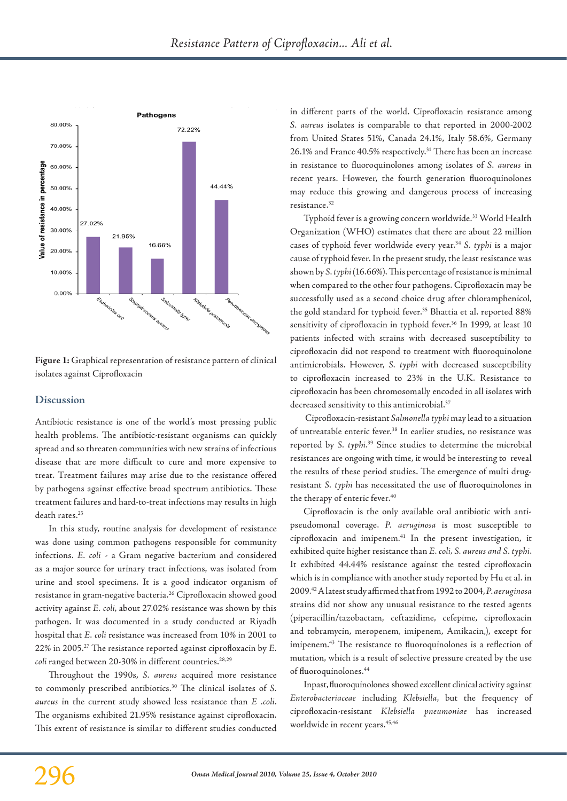

**Figure 1:** Graphical representation of resistance pattern of clinical isolates against Ciprofloxacin

### **Discussion**

Antibiotic resistance is one of the world's most pressing public health problems. The antibiotic-resistant organisms can quickly spread and so threaten communities with new strains of infectious disease that are more difficult to cure and more expensive to treat. Treatment failures may arise due to the resistance offered by pathogens against effective broad spectrum antibiotics. These treatment failures and hard-to-treat infections may results in high death rates.25

In this study, routine analysis for development of resistance was done using common pathogens responsible for community infections. *E. coli* - a Gram negative bacterium and considered as a major source for urinary tract infections, was isolated from urine and stool specimens. It is a good indicator organism of resistance in gram-negative bacteria.26 Ciprofloxacin showed good activity against *E. coli*, about 27.02% resistance was shown by this pathogen. It was documented in a study conducted at Riyadh hospital that *E. coli* resistance was increased from 10% in 2001 to 22% in 2005.27 The resistance reported against ciprofloxacin by *E. coli* ranged between 20-30% in different countries.<sup>28,29</sup>

Throughout the 1990s, *S. aureus* acquired more resistance to commonly prescribed antibiotics.30 The clinical isolates of *S. aureus* in the current study showed less resistance than *E .coli*. The organisms exhibited 21.95% resistance against ciprofloxacin. This extent of resistance is similar to different studies conducted in different parts of the world. Ciprofloxacin resistance among *S. aureus* isolates is comparable to that reported in 2000-2002 from United States 51%, Canada 24.1%, Italy 58.6%, Germany 26.1% and France 40.5% respectively.<sup>31</sup> There has been an increase in resistance to fluoroquinolones among isolates of *S. aureus* in recent years. However, the fourth generation fluoroquinolones may reduce this growing and dangerous process of increasing resistance.32

Typhoid fever is a growing concern worldwide.<sup>33</sup> World Health Organization (WHO) estimates that there are about 22 million cases of typhoid fever worldwide every year.34 *S. typhi* is a major cause of typhoid fever. In the present study, the least resistance was shown by *S. typhi* (16.66%). This percentage of resistance is minimal when compared to the other four pathogens. Ciprofloxacin may be successfully used as a second choice drug after chloramphenicol, the gold standard for typhoid fever.<sup>35</sup> Bhattia et al. reported 88% sensitivity of ciprofloxacin in typhoid fever.<sup>36</sup> In 1999, at least 10 patients infected with strains with decreased susceptibility to ciprofloxacin did not respond to treatment with fluoroquinolone antimicrobials. However, *S. typhi* with decreased susceptibility to ciprofloxacin increased to 23% in the U.K. Resistance to ciprofloxacin has been chromosomally encoded in all isolates with decreased sensitivity to this antimicrobial.<sup>37</sup>

 Ciprofloxacin-resistant *Salmonella typhi* may lead to a situation of untreatable enteric fever.<sup>38</sup> In earlier studies, no resistance was reported by *S. typhi*. 39 Since studies to determine the microbial resistances are ongoing with time, it would be interesting to reveal the results of these period studies. The emergence of multi drugresistant *S. typhi* has necessitated the use of fluoroquinolones in the therapy of enteric fever.<sup>40</sup>

Ciprofloxacin is the only available oral antibiotic with antipseudomonal coverage. *P. aeruginosa* is most susceptible to ciprofloxacin and imipenem.41 In the present investigation, it exhibited quite higher resistance than *E. coli, S. aureus and S. typhi*. It exhibited 44.44% resistance against the tested ciprofloxacin which is in compliance with another study reported by Hu et al. in 2009.42 A latest study affirmed that from 1992 to 2004, *P. aeruginosa* strains did not show any unusual resistance to the tested agents (piperacillin/tazobactam, ceftazidime, cefepime, ciprofloxacin and tobramycin, meropenem, imipenem, Amikacin,), except for imipenem.43 The resistance to fluoroquinolones is a reflection of mutation, which is a result of selective pressure created by the use of fluoroquinolones.44

In past, fluoroquinolones showed excellent clinical activity against *Enterobacteriaceae* including *Klebsiella*, but the frequency of ciprofloxacin-resistant *Klebsiella pneumoniae* has increased worldwide in recent years.<sup>45,46</sup>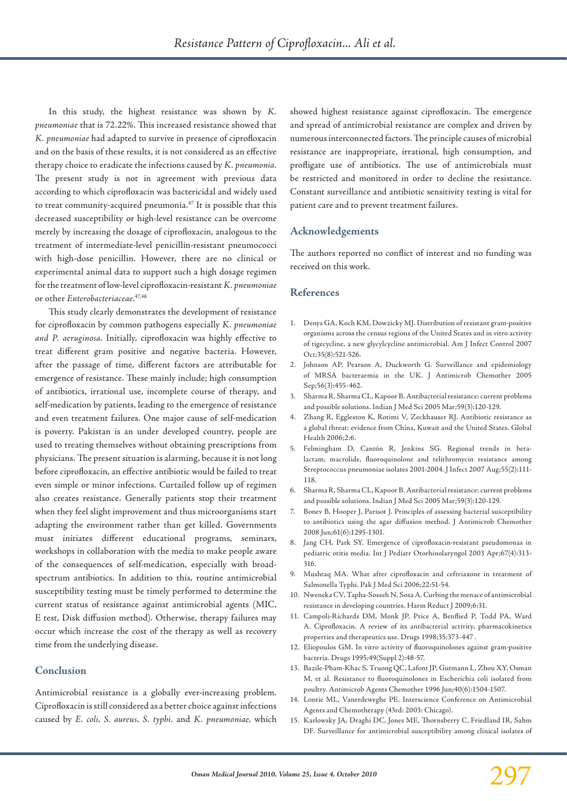In this study, the highest resistance was shown by *K. pneumoniae* that is 72.22%. This increased resistance showed that *K. pneumoniae* had adapted to survive in presence of ciprofloxacin and on the basis of these results, it is not considered as an effective therapy choice to eradicate the infections caused by *K. pneumonia.* The present study is not in agreement with previous data according to which ciprofloxacin was bactericidal and widely used to treat community-acquired pneumonia.47 It is possible that this decreased susceptibility or high-level resistance can be overcome merely by increasing the dosage of ciprofloxacin, analogous to the treatment of intermediate-level penicillin-resistant pneumococci with high-dose penicillin. However, there are no clinical or experimental animal data to support such a high dosage regimen for the treatment of low-level ciprofloxacin-resistant *K. pneumoniae* or other *Enterobacteriaceae*. 47,48

This study clearly demonstrates the development of resistance for ciprofloxacin by common pathogens especially *K. pneumoniae and P. aeruginosa*. Initially, ciprofloxacin was highly effective to treat different gram positive and negative bacteria. However, after the passage of time, different factors are attributable for emergence of resistance. These mainly include; high consumption of antibiotics, irrational use, incomplete course of therapy, and self-medication by patients, leading to the emergence of resistance and even treatment failures. One major cause of self-medication is poverty. Pakistan is an under developed country, people are used to treating themselves without obtaining prescriptions from physicians. The present situation is alarming, because it is not long before ciprofloxacin, an effective antibiotic would be failed to treat even simple or minor infections. Curtailed follow up of regimen also creates resistance. Generally patients stop their treatment when they feel slight improvement and thus microorganisms start adapting the environment rather than get killed. Governments must initiates different educational programs, seminars, workshops in collaboration with the media to make people aware of the consequences of self-medication, especially with broadspectrum antibiotics. In addition to this, routine antimicrobial susceptibility testing must be timely performed to determine the current status of resistance against antimicrobial agents (MIC, E test, Disk diffusion method). Otherwise, therapy failures may occur which increase the cost of the therapy as well as recovery time from the underlying disease.

# **Conclusion**

Antimicrobial resistance is a globally ever-increasing problem. Ciprofloxacin is still considered as a better choice against infections caused by *E. coli, S. aureus, S. typhi.* and *K. pneumoniae,* which showed highest resistance against ciprofloxacin. The emergence and spread of antimicrobial resistance are complex and driven by numerous interconnected factors. The principle causes of microbial resistance are inappropriate, irrational, high consumption, and profligate use of antibiotics. The use of antimicrobials must be restricted and monitored in order to decline the resistance. Constant surveillance and antibiotic sensitivity testing is vital for patient care and to prevent treatment failures.

### **Acknowledgements**

The authors reported no conflict of interest and no funding was received on this work.

### **References**

- 1. Denys GA, Koch KM, Dowzicky MJ. Distribution of resistant gram-positive organisms across the census regions of the United States and in vitro activity of tigecycline, a new glycylcycline antimicrobial. Am J Infect Control 2007 Oct;35(8):521-526.
- 2. Johnson AP, Pearson A, Duckworth G. Surveillance and epidemiology of MRSA bacteraemia in the UK. J Antimicrob Chemother 2005 Sep;56(3):455-462.
- 3. Sharma R, Sharma CL, Kapoor B. Antibacterial resistance: current problems and possible solutions. Indian J Med Sci 2005 Mar;59(3):120-129.
- 4. Zhang R, Eggleston K, Rotimi V, Zeckhauser RJ. Antibiotic resistance as a global threat: evidence from China, Kuwait and the United States. Global Health 2006;2:6.
- 5. Felmingham D, Cantón R, Jenkins SG. Regional trends in betalactam, macrolide, fluoroquinolone and telithromycin resistance among Streptococcus pneumoniae isolates 2001-2004. J Infect 2007 Aug;55(2):111- 118.
- 6. Sharma R, Sharma CL, Kapoor B. Antibacterial resistance: current problems and possible solutions. Indian J Med Sci 2005 Mar;59(3):120-129.
- 7. Bonev B, Hooper J, Parisot J. Principles of assessing bacterial susceptibility to antibiotics using the agar diffusion method. J Antimicrob Chemother 2008 Jun;61(6):1295-1301.
- 8. Jang CH, Park SY. Emergence of ciprofloxacin-resistant pseudomonas in pediatric otitis media. Int J Pediatr Otorhinolaryngol 2003 Apr;67(4):313- 316.
- 9. Mushtaq MA. What after ciprofloxacin and ceftriaxone in treatment of Salmonella Typhi. Pak J Med Sci 2006;22:51-54.
- 10. Nweneka CV, Tapha-Sosseh N, Sosa A. Curbing the menace of antimicrobial resistance in developing countries. Harm Reduct J 2009;6:31.
- 11. Campoli-Richards DM, Monk JP, Price A, Benflied P, Todd PA, Ward A. Ciprofloxacin. A review of its antibacterial activity, pharmacokinetics properties and therapeutics use. Drugs 1998;35:373-447 .
- 12. Eliopoulos GM. In vitro activity of fluoroquinolones against gram-positive bacteria. Drugs 1995;49(Suppl 2):48-57.
- 13. Bazile-Pham-Khac S, Truong QC, Lafont JP, Gutmann L, Zhou XY, Osman M, et al. Resistance to fluoroquinolones in Escherichia coli isolated from poultry. Antimicrob Agents Chemother 1996 Jun;40(6):1504-1507.
- 14. Lontie ML, Vanerdeweghe PE. Interscience Conference on Antimicrobial Agents and Chemotherapy (43rd: 2003: Chicago).
- 15. Karlowsky JA, Draghi DC, Jones ME, Thornsberry C, Friedland IR, Sahm DF. Surveillance for antimicrobial susceptibility among clinical isolates of